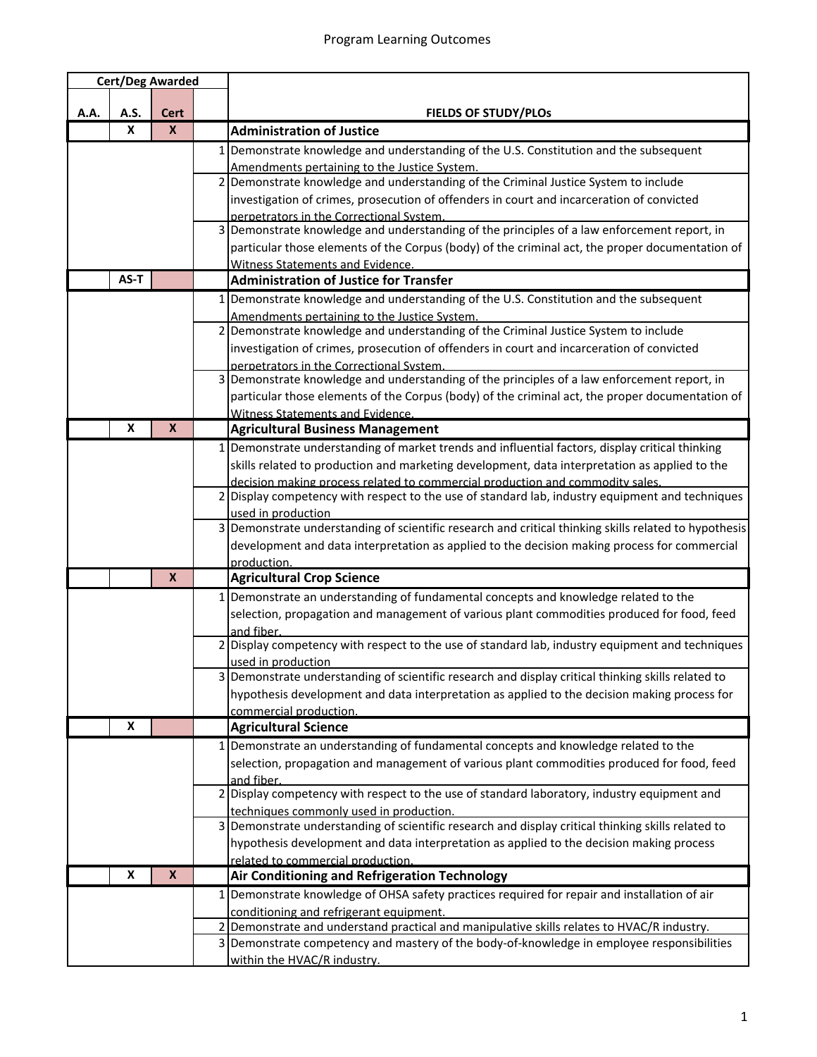| <b>Cert/Deg Awarded</b> |        |                           |                |                                                                                                                                       |
|-------------------------|--------|---------------------------|----------------|---------------------------------------------------------------------------------------------------------------------------------------|
|                         |        |                           |                |                                                                                                                                       |
| A.A.                    | A.S.   | <b>Cert</b>               |                | <b>FIELDS OF STUDY/PLOs</b>                                                                                                           |
|                         | X      | $\mathbf{x}$              |                | <b>Administration of Justice</b>                                                                                                      |
|                         |        |                           |                | 1 Demonstrate knowledge and understanding of the U.S. Constitution and the subsequent                                                 |
|                         |        |                           |                | Amendments pertaining to the Justice System.                                                                                          |
|                         |        |                           |                | 2 Demonstrate knowledge and understanding of the Criminal Justice System to include                                                   |
|                         |        |                           |                | investigation of crimes, prosecution of offenders in court and incarceration of convicted                                             |
|                         |        |                           | $\overline{3}$ | perpetrators in the Correctional System.<br>Demonstrate knowledge and understanding of the principles of a law enforcement report, in |
|                         |        |                           |                | particular those elements of the Corpus (body) of the criminal act, the proper documentation of                                       |
|                         |        |                           |                | Witness Statements and Evidence.                                                                                                      |
|                         | $AS-T$ |                           |                | <b>Administration of Justice for Transfer</b>                                                                                         |
|                         |        |                           |                | 1 Demonstrate knowledge and understanding of the U.S. Constitution and the subsequent                                                 |
|                         |        |                           |                | Amendments pertaining to the Justice System                                                                                           |
|                         |        |                           |                | 2 Demonstrate knowledge and understanding of the Criminal Justice System to include                                                   |
|                         |        |                           |                | investigation of crimes, prosecution of offenders in court and incarceration of convicted                                             |
|                         |        |                           |                | perpetrators in the Correctional System                                                                                               |
|                         |        |                           |                | 3 Demonstrate knowledge and understanding of the principles of a law enforcement report, in                                           |
|                         |        |                           |                | particular those elements of the Corpus (body) of the criminal act, the proper documentation of                                       |
|                         |        |                           |                | <b>Witness Statements and Evidence</b>                                                                                                |
|                         | X      | X                         |                | <b>Agricultural Business Management</b>                                                                                               |
|                         |        |                           |                | 1 Demonstrate understanding of market trends and influential factors, display critical thinking                                       |
|                         |        |                           |                | skills related to production and marketing development, data interpretation as applied to the                                         |
|                         |        |                           |                | decision making process related to commercial production and commodity sales.                                                         |
|                         |        |                           |                | 2 Display competency with respect to the use of standard lab, industry equipment and techniques                                       |
|                         |        |                           |                | used in production                                                                                                                    |
|                         |        |                           |                | 3 Demonstrate understanding of scientific research and critical thinking skills related to hypothesis                                 |
|                         |        |                           |                | development and data interpretation as applied to the decision making process for commercial                                          |
|                         |        | $\boldsymbol{\mathsf{x}}$ |                | production.<br><b>Agricultural Crop Science</b>                                                                                       |
|                         |        |                           |                |                                                                                                                                       |
|                         |        |                           |                | 1 Demonstrate an understanding of fundamental concepts and knowledge related to the                                                   |
|                         |        |                           |                | selection, propagation and management of various plant commodities produced for food, feed<br>and fiber.                              |
|                         |        |                           |                | Display competency with respect to the use of standard lab, industry equipment and techniques                                         |
|                         |        |                           |                | used in production                                                                                                                    |
|                         |        |                           |                | 3 Demonstrate understanding of scientific research and display critical thinking skills related to                                    |
|                         |        |                           |                | hypothesis development and data interpretation as applied to the decision making process for                                          |
|                         |        |                           |                | commercial production.                                                                                                                |
|                         | X      |                           |                | <b>Agricultural Science</b>                                                                                                           |
|                         |        |                           |                | 1 Demonstrate an understanding of fundamental concepts and knowledge related to the                                                   |
|                         |        |                           |                | selection, propagation and management of various plant commodities produced for food, feed                                            |
|                         |        |                           |                | and fiber.                                                                                                                            |
|                         |        |                           |                | 2 Display competency with respect to the use of standard laboratory, industry equipment and                                           |
|                         |        |                           |                | techniques commonly used in production.                                                                                               |
|                         |        |                           | 3              | Demonstrate understanding of scientific research and display critical thinking skills related to                                      |
|                         |        |                           |                | hypothesis development and data interpretation as applied to the decision making process                                              |
|                         | X      | $\pmb{\times}$            |                | related to commercial production.                                                                                                     |
|                         |        |                           |                | Air Conditioning and Refrigeration Technology                                                                                         |
|                         |        |                           |                | Demonstrate knowledge of OHSA safety practices required for repair and installation of air                                            |
|                         |        |                           | 2              | conditioning and refrigerant equipment.<br>Demonstrate and understand practical and manipulative skills relates to HVAC/R industry.   |
|                         |        |                           | 3              | Demonstrate competency and mastery of the body-of-knowledge in employee responsibilities                                              |
|                         |        |                           |                | within the HVAC/R industry.                                                                                                           |
|                         |        |                           |                |                                                                                                                                       |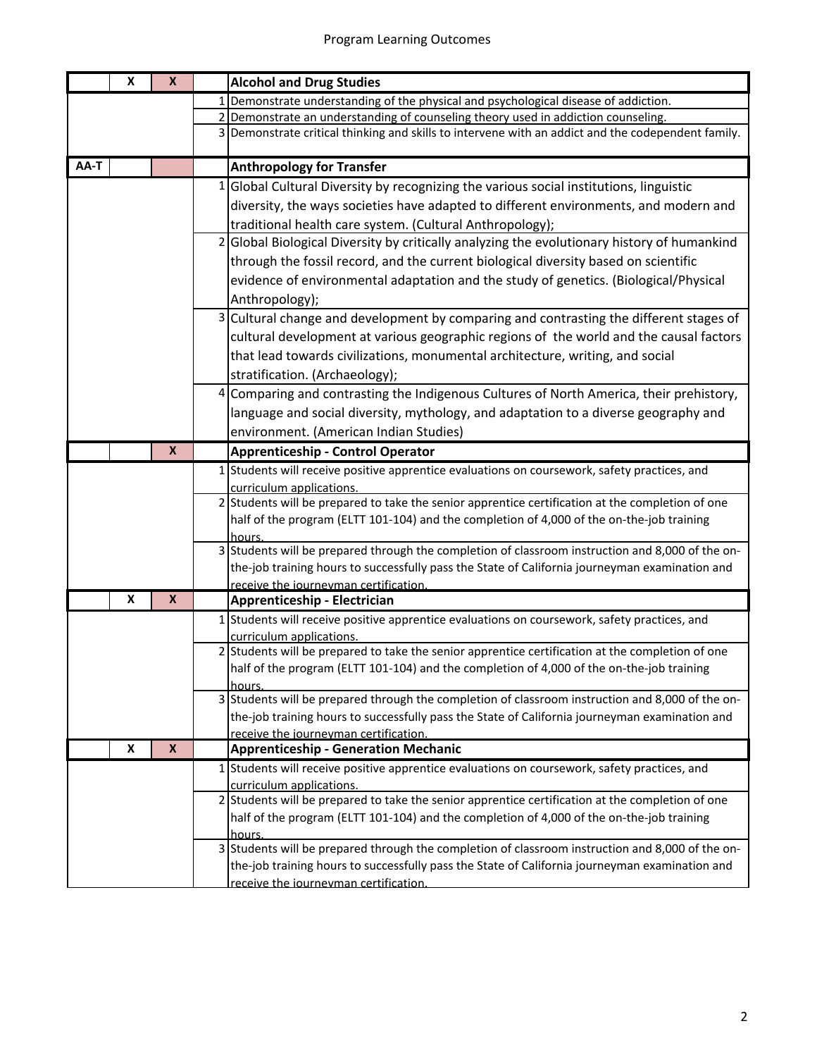|      | X                  | X                         | <b>Alcohol and Drug Studies</b>                                                                                              |
|------|--------------------|---------------------------|------------------------------------------------------------------------------------------------------------------------------|
|      |                    |                           | Demonstrate understanding of the physical and psychological disease of addiction.                                            |
|      |                    |                           | 2 Demonstrate an understanding of counseling theory used in addiction counseling.                                            |
|      |                    |                           | 3 Demonstrate critical thinking and skills to intervene with an addict and the codependent family.                           |
| AA-T |                    |                           | <b>Anthropology for Transfer</b>                                                                                             |
|      |                    |                           | 1 Global Cultural Diversity by recognizing the various social institutions, linguistic                                       |
|      |                    |                           | diversity, the ways societies have adapted to different environments, and modern and                                         |
|      |                    |                           |                                                                                                                              |
|      |                    |                           | traditional health care system. (Cultural Anthropology);                                                                     |
|      |                    |                           | 2 Global Biological Diversity by critically analyzing the evolutionary history of humankind                                  |
|      |                    |                           | through the fossil record, and the current biological diversity based on scientific                                          |
|      |                    |                           | evidence of environmental adaptation and the study of genetics. (Biological/Physical                                         |
|      |                    |                           | Anthropology);                                                                                                               |
|      |                    |                           | 3 Cultural change and development by comparing and contrasting the different stages of                                       |
|      |                    |                           | cultural development at various geographic regions of the world and the causal factors                                       |
|      |                    |                           | that lead towards civilizations, monumental architecture, writing, and social                                                |
|      |                    |                           | stratification. (Archaeology);                                                                                               |
|      |                    |                           | Comparing and contrasting the Indigenous Cultures of North America, their prehistory,                                        |
|      |                    |                           | language and social diversity, mythology, and adaptation to a diverse geography and                                          |
|      |                    |                           | environment. (American Indian Studies)                                                                                       |
|      |                    | $\boldsymbol{x}$          | <b>Apprenticeship - Control Operator</b>                                                                                     |
|      |                    |                           | 1 Students will receive positive apprentice evaluations on coursework, safety practices, and                                 |
|      |                    |                           | curriculum applications.                                                                                                     |
|      |                    |                           | 2 Students will be prepared to take the senior apprentice certification at the completion of one                             |
|      |                    |                           | half of the program (ELTT 101-104) and the completion of 4,000 of the on-the-job training                                    |
|      |                    |                           | hours                                                                                                                        |
|      |                    |                           | 3 Students will be prepared through the completion of classroom instruction and 8,000 of the on-                             |
|      |                    |                           | the-job training hours to successfully pass the State of California journeyman examination and                               |
|      | X                  | $\boldsymbol{\mathsf{X}}$ | receive the journeyman certification                                                                                         |
|      |                    |                           | Apprenticeship - Electrician<br>1 Students will receive positive apprentice evaluations on coursework, safety practices, and |
|      |                    |                           | curriculum applications.                                                                                                     |
|      |                    |                           | 2 Students will be prepared to take the senior apprentice certification at the completion of one                             |
|      |                    |                           | half of the program (ELTT 101-104) and the completion of 4,000 of the on-the-job training                                    |
|      |                    |                           | hours.                                                                                                                       |
|      |                    |                           | 3 Students will be prepared through the completion of classroom instruction and 8,000 of the on-                             |
|      |                    |                           | the-job training hours to successfully pass the State of California journeyman examination and                               |
|      |                    |                           | receive the iournevman certification.                                                                                        |
|      | $\pmb{\mathsf{X}}$ | $\boldsymbol{x}$          | <b>Apprenticeship - Generation Mechanic</b>                                                                                  |
|      |                    |                           | 1 Students will receive positive apprentice evaluations on coursework, safety practices, and                                 |
|      |                    |                           | curriculum applications.<br>2 Students will be prepared to take the senior apprentice certification at the completion of one |
|      |                    |                           | half of the program (ELTT 101-104) and the completion of 4,000 of the on-the-job training                                    |
|      |                    |                           | hours.                                                                                                                       |
|      |                    |                           | 3 Students will be prepared through the completion of classroom instruction and 8,000 of the on-                             |
|      |                    |                           | the-job training hours to successfully pass the State of California journeyman examination and                               |
|      |                    |                           | receive the journeyman certification.                                                                                        |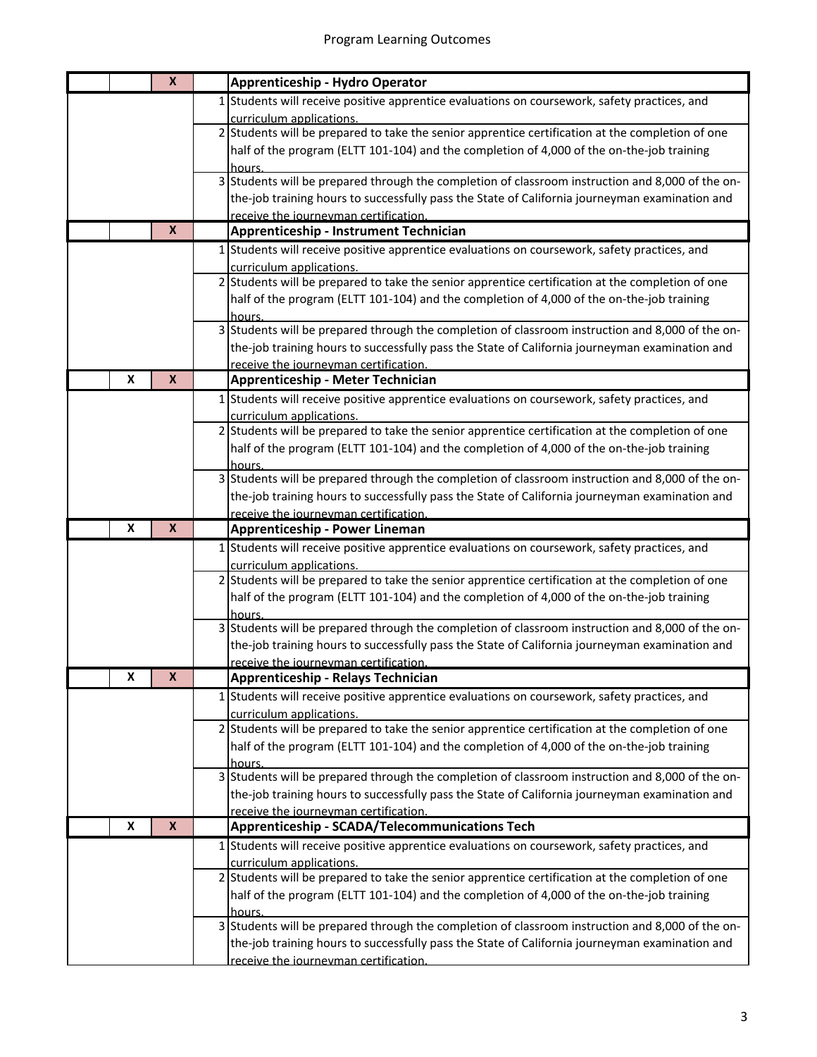|   | $\boldsymbol{X}$ | <b>Apprenticeship - Hydro Operator</b>                                                                                                  |
|---|------------------|-----------------------------------------------------------------------------------------------------------------------------------------|
|   |                  | 1 Students will receive positive apprentice evaluations on coursework, safety practices, and                                            |
|   |                  | curriculum applications.                                                                                                                |
|   |                  | 2 Students will be prepared to take the senior apprentice certification at the completion of one                                        |
|   |                  | half of the program (ELTT 101-104) and the completion of 4,000 of the on-the-job training                                               |
|   |                  | hours.                                                                                                                                  |
|   |                  | 3 Students will be prepared through the completion of classroom instruction and 8,000 of the on-                                        |
|   |                  | the-job training hours to successfully pass the State of California journeyman examination and                                          |
|   |                  | receive the journeyman certification.                                                                                                   |
|   | $\mathsf{x}$     | <b>Apprenticeship - Instrument Technician</b>                                                                                           |
|   |                  | 1 Students will receive positive apprentice evaluations on coursework, safety practices, and                                            |
|   |                  | curriculum applications.                                                                                                                |
|   |                  | 2 Students will be prepared to take the senior apprentice certification at the completion of one                                        |
|   |                  | half of the program (ELTT 101-104) and the completion of 4,000 of the on-the-job training                                               |
|   |                  | hours.                                                                                                                                  |
|   |                  | 3 Students will be prepared through the completion of classroom instruction and 8,000 of the on-                                        |
|   |                  | the-job training hours to successfully pass the State of California journeyman examination and                                          |
|   |                  | receive the journeyman certification.                                                                                                   |
| x | X                | Apprenticeship - Meter Technician                                                                                                       |
|   |                  | 1 Students will receive positive apprentice evaluations on coursework, safety practices, and                                            |
|   |                  | curriculum applications.                                                                                                                |
|   |                  | 2 Students will be prepared to take the senior apprentice certification at the completion of one                                        |
|   |                  | half of the program (ELTT 101-104) and the completion of 4,000 of the on-the-job training                                               |
|   |                  | hours.                                                                                                                                  |
|   |                  | 3 Students will be prepared through the completion of classroom instruction and 8,000 of the on-                                        |
|   |                  | the-job training hours to successfully pass the State of California journeyman examination and                                          |
| x | X                | receive the journeyman certification.                                                                                                   |
|   |                  | <b>Apprenticeship - Power Lineman</b>                                                                                                   |
|   |                  | 1 Students will receive positive apprentice evaluations on coursework, safety practices, and                                            |
|   |                  | curriculum applications.<br>2 Students will be prepared to take the senior apprentice certification at the completion of one            |
|   |                  | half of the program (ELTT 101-104) and the completion of 4,000 of the on-the-job training                                               |
|   |                  | hours.                                                                                                                                  |
|   |                  | 3 Students will be prepared through the completion of classroom instruction and 8,000 of the on-                                        |
|   |                  | the-job training hours to successfully pass the State of California journeyman examination and                                          |
|   |                  | receive the journeyman certification.                                                                                                   |
| X | $\pmb{\times}$   | Apprenticeship - Relays Technician                                                                                                      |
|   |                  | 1 Students will receive positive apprentice evaluations on coursework, safety practices, and                                            |
|   |                  | curriculum applications.                                                                                                                |
|   |                  | 2 Students will be prepared to take the senior apprentice certification at the completion of one                                        |
|   |                  | half of the program (ELTT 101-104) and the completion of 4,000 of the on-the-job training                                               |
|   |                  | hours.                                                                                                                                  |
|   |                  |                                                                                                                                         |
|   |                  | 3 Students will be prepared through the completion of classroom instruction and 8,000 of the on-                                        |
|   |                  | the-job training hours to successfully pass the State of California journeyman examination and                                          |
|   |                  | receive the iournevman certification.                                                                                                   |
| X | X                | Apprenticeship - SCADA/Telecommunications Tech                                                                                          |
|   |                  | 1 Students will receive positive apprentice evaluations on coursework, safety practices, and                                            |
|   |                  | curriculum applications.                                                                                                                |
|   |                  | 2 Students will be prepared to take the senior apprentice certification at the completion of one                                        |
|   |                  | half of the program (ELTT 101-104) and the completion of 4,000 of the on-the-job training                                               |
|   |                  | hours.                                                                                                                                  |
|   |                  | 3 Students will be prepared through the completion of classroom instruction and 8,000 of the on-                                        |
|   |                  | the-job training hours to successfully pass the State of California journeyman examination and<br>receive the journeyman certification. |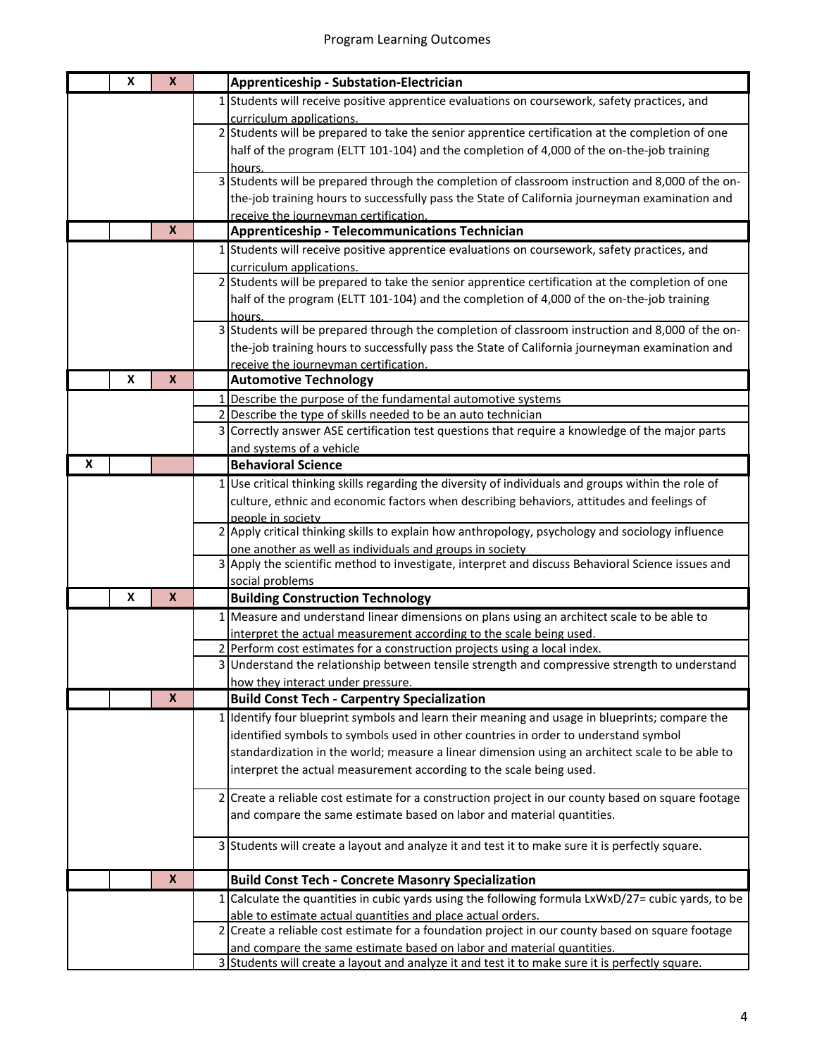|   | X | $\boldsymbol{x}$ |    | <b>Apprenticeship - Substation-Electrician</b>                                                                                     |
|---|---|------------------|----|------------------------------------------------------------------------------------------------------------------------------------|
|   |   |                  |    | 1 Students will receive positive apprentice evaluations on coursework, safety practices, and                                       |
|   |   |                  |    | curriculum applications.                                                                                                           |
|   |   |                  |    | 2 Students will be prepared to take the senior apprentice certification at the completion of one                                   |
|   |   |                  |    | half of the program (ELTT 101-104) and the completion of 4,000 of the on-the-job training                                          |
|   |   |                  |    | hours.                                                                                                                             |
|   |   |                  |    | 3 Students will be prepared through the completion of classroom instruction and 8,000 of the on-                                   |
|   |   |                  |    | the-job training hours to successfully pass the State of California journeyman examination and                                     |
|   |   |                  |    | receive the journeyman certification.                                                                                              |
|   |   | $\mathsf{x}$     |    | <b>Apprenticeship - Telecommunications Technician</b>                                                                              |
|   |   |                  |    | 1 Students will receive positive apprentice evaluations on coursework, safety practices, and                                       |
|   |   |                  |    | curriculum applications.                                                                                                           |
|   |   |                  |    | 2 Students will be prepared to take the senior apprentice certification at the completion of one                                   |
|   |   |                  |    | half of the program (ELTT 101-104) and the completion of 4,000 of the on-the-job training                                          |
|   |   |                  |    | hours.<br>3 Students will be prepared through the completion of classroom instruction and 8,000 of the on-                         |
|   |   |                  |    | the-job training hours to successfully pass the State of California journeyman examination and                                     |
|   |   |                  |    | receive the iournevman certification                                                                                               |
|   | X | X                |    | <b>Automotive Technology</b>                                                                                                       |
|   |   |                  |    | 1 Describe the purpose of the fundamental automotive systems                                                                       |
|   |   |                  | 2  | Describe the type of skills needed to be an auto technician                                                                        |
|   |   |                  | 3  | Correctly answer ASE certification test questions that require a knowledge of the major parts                                      |
|   |   |                  |    | and systems of a vehicle                                                                                                           |
| x |   |                  |    | <b>Behavioral Science</b>                                                                                                          |
|   |   |                  |    | 1 Use critical thinking skills regarding the diversity of individuals and groups within the role of                                |
|   |   |                  |    | culture, ethnic and economic factors when describing behaviors, attitudes and feelings of                                          |
|   |   |                  |    | people in society                                                                                                                  |
|   |   |                  |    | 2 Apply critical thinking skills to explain how anthropology, psychology and sociology influence                                   |
|   |   |                  |    | one another as well as individuals and groups in society                                                                           |
|   |   |                  |    | 3 Apply the scientific method to investigate, interpret and discuss Behavioral Science issues and                                  |
|   |   |                  |    | social problems                                                                                                                    |
|   | X | $\boldsymbol{x}$ |    | <b>Building Construction Technology</b>                                                                                            |
|   |   |                  |    | 1 Measure and understand linear dimensions on plans using an architect scale to be able to                                         |
|   |   |                  |    | interpret the actual measurement according to the scale being used.                                                                |
|   |   |                  |    | 2 Perform cost estimates for a construction projects using a local index.                                                          |
|   |   |                  |    | 3 Understand the relationship between tensile strength and compressive strength to understand<br>how they interact under pressure. |
|   |   | X                |    | <b>Build Const Tech - Carpentry Specialization</b>                                                                                 |
|   |   |                  |    | 1 Identify four blueprint symbols and learn their meaning and usage in blueprints; compare the                                     |
|   |   |                  |    | identified symbols to symbols used in other countries in order to understand symbol                                                |
|   |   |                  |    | standardization in the world; measure a linear dimension using an architect scale to be able to                                    |
|   |   |                  |    | interpret the actual measurement according to the scale being used.                                                                |
|   |   |                  |    |                                                                                                                                    |
|   |   |                  |    | 2 Create a reliable cost estimate for a construction project in our county based on square footage                                 |
|   |   |                  |    | and compare the same estimate based on labor and material quantities.                                                              |
|   |   |                  |    |                                                                                                                                    |
|   |   |                  |    | 3 Students will create a layout and analyze it and test it to make sure it is perfectly square.                                    |
|   |   | $\boldsymbol{x}$ |    | <b>Build Const Tech - Concrete Masonry Specialization</b>                                                                          |
|   |   |                  | 11 | Calculate the quantities in cubic yards using the following formula LxWxD/27= cubic yards, to be                                   |
|   |   |                  |    | able to estimate actual quantities and place actual orders.                                                                        |
|   |   |                  |    | 2 Create a reliable cost estimate for a foundation project in our county based on square footage                                   |
|   |   |                  |    | and compare the same estimate based on labor and material quantities.                                                              |
|   |   |                  |    | 3 Students will create a layout and analyze it and test it to make sure it is perfectly square.                                    |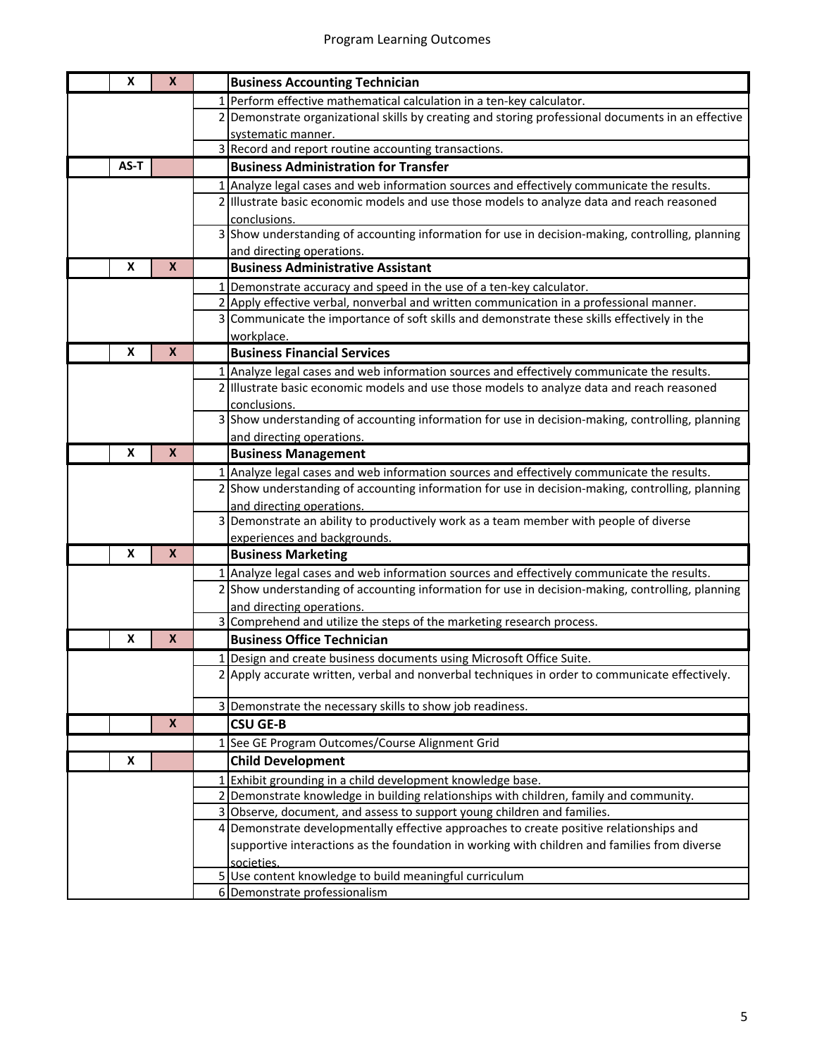| X                  | $\boldsymbol{X}$          | <b>Business Accounting Technician</b>                                                              |
|--------------------|---------------------------|----------------------------------------------------------------------------------------------------|
|                    |                           | 1 Perform effective mathematical calculation in a ten-key calculator.                              |
|                    |                           | 2 Demonstrate organizational skills by creating and storing professional documents in an effective |
|                    |                           | systematic manner.                                                                                 |
|                    |                           | 3 Record and report routine accounting transactions.                                               |
| AS-T               |                           | <b>Business Administration for Transfer</b>                                                        |
|                    |                           | 1 Analyze legal cases and web information sources and effectively communicate the results.         |
|                    |                           | 2 Illustrate basic economic models and use those models to analyze data and reach reasoned         |
|                    |                           | conclusions.                                                                                       |
|                    |                           | 3 Show understanding of accounting information for use in decision-making, controlling, planning   |
|                    |                           | and directing operations.                                                                          |
| X                  | X                         | <b>Business Administrative Assistant</b>                                                           |
|                    |                           | 1 Demonstrate accuracy and speed in the use of a ten-key calculator.                               |
|                    |                           | 2 Apply effective verbal, nonverbal and written communication in a professional manner.            |
|                    |                           | 3 Communicate the importance of soft skills and demonstrate these skills effectively in the        |
|                    |                           | workplace.                                                                                         |
| X                  | $\boldsymbol{X}$          | <b>Business Financial Services</b>                                                                 |
|                    |                           | 1 Analyze legal cases and web information sources and effectively communicate the results.         |
|                    |                           | 2 Illustrate basic economic models and use those models to analyze data and reach reasoned         |
|                    |                           | conclusions.                                                                                       |
|                    |                           | 3 Show understanding of accounting information for use in decision-making, controlling, planning   |
|                    |                           | and directing operations.                                                                          |
| X                  | X                         | <b>Business Management</b>                                                                         |
|                    |                           | 1 Analyze legal cases and web information sources and effectively communicate the results.         |
|                    |                           | 2 Show understanding of accounting information for use in decision-making, controlling, planning   |
|                    |                           | and directing operations.                                                                          |
|                    |                           | 3 Demonstrate an ability to productively work as a team member with people of diverse              |
|                    |                           | experiences and backgrounds.                                                                       |
| X                  | $\boldsymbol{\mathsf{x}}$ | <b>Business Marketing</b>                                                                          |
|                    |                           | 1 Analyze legal cases and web information sources and effectively communicate the results.         |
|                    |                           | 2 Show understanding of accounting information for use in decision-making, controlling, planning   |
|                    |                           | and directing operations.                                                                          |
|                    |                           | 3 Comprehend and utilize the steps of the marketing research process.                              |
| X                  | X                         | <b>Business Office Technician</b>                                                                  |
|                    |                           | 1 Design and create business documents using Microsoft Office Suite.                               |
|                    |                           | 2 Apply accurate written, verbal and nonverbal techniques in order to communicate effectively.     |
|                    |                           |                                                                                                    |
|                    | $\boldsymbol{X}$          | 3 Demonstrate the necessary skills to show job readiness.                                          |
|                    |                           | <b>CSU GE-B</b>                                                                                    |
|                    |                           | 1 See GE Program Outcomes/Course Alignment Grid                                                    |
| $\pmb{\mathsf{x}}$ |                           | <b>Child Development</b>                                                                           |
|                    |                           | 1 Exhibit grounding in a child development knowledge base.                                         |
|                    |                           | 2 Demonstrate knowledge in building relationships with children, family and community.             |
|                    |                           | 3 Observe, document, and assess to support young children and families.                            |
|                    |                           | 4 Demonstrate developmentally effective approaches to create positive relationships and            |
|                    |                           | supportive interactions as the foundation in working with children and families from diverse       |
|                    |                           | societies.<br>5 Use content knowledge to build meaningful curriculum                               |
|                    |                           | 6 Demonstrate professionalism                                                                      |
|                    |                           |                                                                                                    |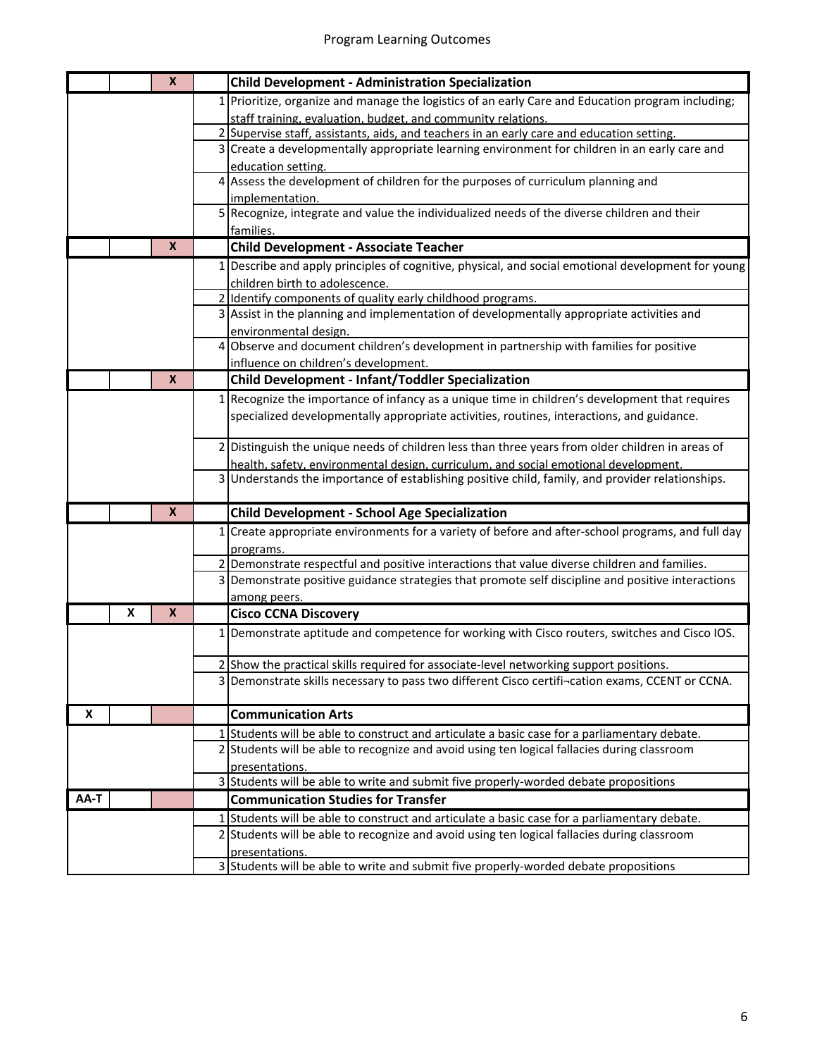|      |   | $\boldsymbol{x}$ | <b>Child Development - Administration Specialization</b>                                                         |
|------|---|------------------|------------------------------------------------------------------------------------------------------------------|
|      |   |                  | 1 Prioritize, organize and manage the logistics of an early Care and Education program including;                |
|      |   |                  | staff training, evaluation, budget, and community relations.                                                     |
|      |   |                  | 2 Supervise staff, assistants, aids, and teachers in an early care and education setting.                        |
|      |   |                  | 3 Create a developmentally appropriate learning environment for children in an early care and                    |
|      |   |                  | education setting.                                                                                               |
|      |   |                  | 4 Assess the development of children for the purposes of curriculum planning and                                 |
|      |   |                  | implementation.                                                                                                  |
|      |   |                  | 5 Recognize, integrate and value the individualized needs of the diverse children and their                      |
|      |   |                  | families.                                                                                                        |
|      |   | X                | <b>Child Development - Associate Teacher</b>                                                                     |
|      |   |                  | 1 Describe and apply principles of cognitive, physical, and social emotional development for young               |
|      |   |                  | children birth to adolescence.                                                                                   |
|      |   |                  | 2 Identify components of quality early childhood programs.                                                       |
|      |   |                  | 3 Assist in the planning and implementation of developmentally appropriate activities and                        |
|      |   |                  | environmental design.<br>4 Observe and document children's development in partnership with families for positive |
|      |   |                  | influence on children's development.                                                                             |
|      |   | $\mathsf{x}$     | <b>Child Development - Infant/Toddler Specialization</b>                                                         |
|      |   |                  |                                                                                                                  |
|      |   |                  | 1 Recognize the importance of infancy as a unique time in children's development that requires                   |
|      |   |                  | specialized developmentally appropriate activities, routines, interactions, and guidance.                        |
|      |   |                  | 2 Distinguish the unique needs of children less than three years from older children in areas of                 |
|      |   |                  | health, safety, environmental design, curriculum, and social emotional development.                              |
|      |   |                  | 3 Understands the importance of establishing positive child, family, and provider relationships.                 |
|      |   |                  |                                                                                                                  |
|      |   | $\boldsymbol{x}$ | <b>Child Development - School Age Specialization</b>                                                             |
|      |   |                  | 1 Create appropriate environments for a variety of before and after-school programs, and full day                |
|      |   |                  | programs.                                                                                                        |
|      |   |                  | 2 Demonstrate respectful and positive interactions that value diverse children and families.                     |
|      |   |                  | 3 Demonstrate positive guidance strategies that promote self discipline and positive interactions                |
|      |   |                  | among peers.                                                                                                     |
|      | X | $\mathsf{x}$     | <b>Cisco CCNA Discovery</b>                                                                                      |
|      |   |                  | 1 Demonstrate aptitude and competence for working with Cisco routers, switches and Cisco IOS.                    |
|      |   |                  | 2 Show the practical skills required for associate-level networking support positions.                           |
|      |   |                  | 3 Demonstrate skills necessary to pass two different Cisco certifi-cation exams, CCENT or CCNA.                  |
|      |   |                  |                                                                                                                  |
| X    |   |                  | <b>Communication Arts</b>                                                                                        |
|      |   |                  | 1 Students will be able to construct and articulate a basic case for a parliamentary debate.                     |
|      |   |                  | 2 Students will be able to recognize and avoid using ten logical fallacies during classroom                      |
|      |   |                  | presentations.                                                                                                   |
|      |   |                  | 3 Students will be able to write and submit five properly-worded debate propositions                             |
| AA-T |   |                  | <b>Communication Studies for Transfer</b>                                                                        |
|      |   |                  | 1 Students will be able to construct and articulate a basic case for a parliamentary debate.                     |
|      |   |                  | 2 Students will be able to recognize and avoid using ten logical fallacies during classroom                      |
|      |   |                  | presentations.                                                                                                   |
|      |   |                  | 3 Students will be able to write and submit five properly-worded debate propositions                             |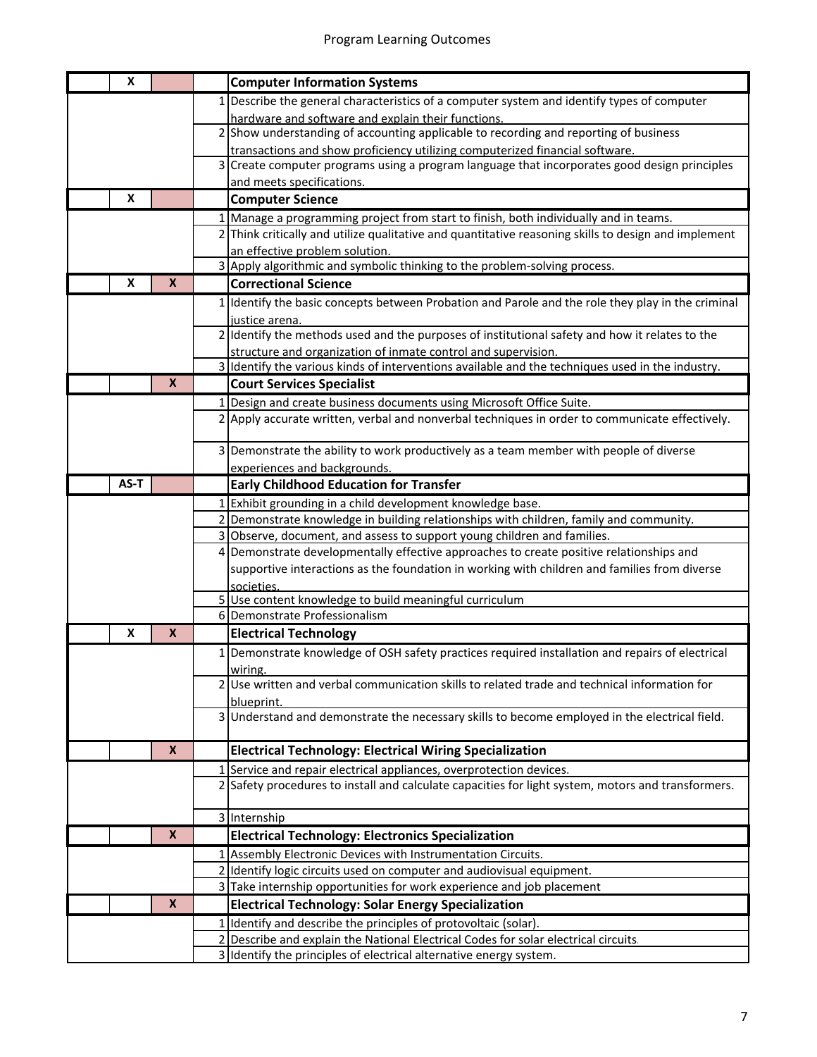| X    |                           |   | <b>Computer Information Systems</b>                                                                                   |
|------|---------------------------|---|-----------------------------------------------------------------------------------------------------------------------|
|      |                           |   | 1 Describe the general characteristics of a computer system and identify types of computer                            |
|      |                           |   | hardware and software and explain their functions.                                                                    |
|      |                           |   | 2 Show understanding of accounting applicable to recording and reporting of business                                  |
|      |                           |   | transactions and show proficiency utilizing computerized financial software.                                          |
|      |                           |   | 3 Create computer programs using a program language that incorporates good design principles                          |
|      |                           |   | and meets specifications.                                                                                             |
| X    |                           |   | <b>Computer Science</b>                                                                                               |
|      |                           |   | 1 Manage a programming project from start to finish, both individually and in teams.                                  |
|      |                           |   | 2 Think critically and utilize qualitative and quantitative reasoning skills to design and implement                  |
|      |                           |   | an effective problem solution.<br>3 Apply algorithmic and symbolic thinking to the problem-solving process.           |
| X    | $\boldsymbol{x}$          |   | <b>Correctional Science</b>                                                                                           |
|      |                           |   |                                                                                                                       |
|      |                           |   | 1 I Identify the basic concepts between Probation and Parole and the role they play in the criminal<br>justice arena. |
|      |                           |   | 2 Identify the methods used and the purposes of institutional safety and how it relates to the                        |
|      |                           |   | structure and organization of inmate control and supervision.                                                         |
|      |                           |   | 3 Identify the various kinds of interventions available and the techniques used in the industry.                      |
|      | $\boldsymbol{\mathsf{x}}$ |   | <b>Court Services Specialist</b>                                                                                      |
|      |                           |   | 1 Design and create business documents using Microsoft Office Suite.                                                  |
|      |                           |   | Apply accurate written, verbal and nonverbal techniques in order to communicate effectively.                          |
|      |                           |   |                                                                                                                       |
|      |                           |   | 3 Demonstrate the ability to work productively as a team member with people of diverse                                |
|      |                           |   | experiences and backgrounds.                                                                                          |
| AS-T |                           |   | <b>Early Childhood Education for Transfer</b>                                                                         |
|      |                           |   | 1 Exhibit grounding in a child development knowledge base.                                                            |
|      |                           |   | 2 Demonstrate knowledge in building relationships with children, family and community.                                |
|      |                           |   | 3 Observe, document, and assess to support young children and families.                                               |
|      |                           |   | 4 Demonstrate developmentally effective approaches to create positive relationships and                               |
|      |                           |   | supportive interactions as the foundation in working with children and families from diverse<br>societies             |
|      |                           |   | 5 Use content knowledge to build meaningful curriculum                                                                |
|      |                           |   | 6 Demonstrate Professionalism                                                                                         |
| X    | X                         |   | <b>Electrical Technology</b>                                                                                          |
|      |                           |   | Demonstrate knowledge of OSH safety practices required installation and repairs of electrical                         |
|      |                           |   | wiring.                                                                                                               |
|      |                           |   | 2 Use written and verbal communication skills to related trade and technical information for                          |
|      |                           |   | blueprint.                                                                                                            |
|      |                           | 3 | Understand and demonstrate the necessary skills to become employed in the electrical field.                           |
|      |                           |   |                                                                                                                       |
|      | $\boldsymbol{x}$          |   | <b>Electrical Technology: Electrical Wiring Specialization</b>                                                        |
|      |                           |   | 1 Service and repair electrical appliances, overprotection devices.                                                   |
|      |                           |   | 2 Safety procedures to install and calculate capacities for light system, motors and transformers.                    |
|      |                           |   | 3 Internship                                                                                                          |
|      | $\boldsymbol{X}$          |   | <b>Electrical Technology: Electronics Specialization</b>                                                              |
|      |                           |   | 1 Assembly Electronic Devices with Instrumentation Circuits.                                                          |
|      |                           |   | 2 Identify logic circuits used on computer and audiovisual equipment.                                                 |
|      |                           |   | 3 Take internship opportunities for work experience and job placement                                                 |
|      | $\boldsymbol{x}$          |   | <b>Electrical Technology: Solar Energy Specialization</b>                                                             |
|      |                           |   | 1 Identify and describe the principles of protovoltaic (solar).                                                       |
|      |                           |   | Describe and explain the National Electrical Codes for solar electrical circuits.                                     |
|      |                           |   | 3 Identify the principles of electrical alternative energy system.                                                    |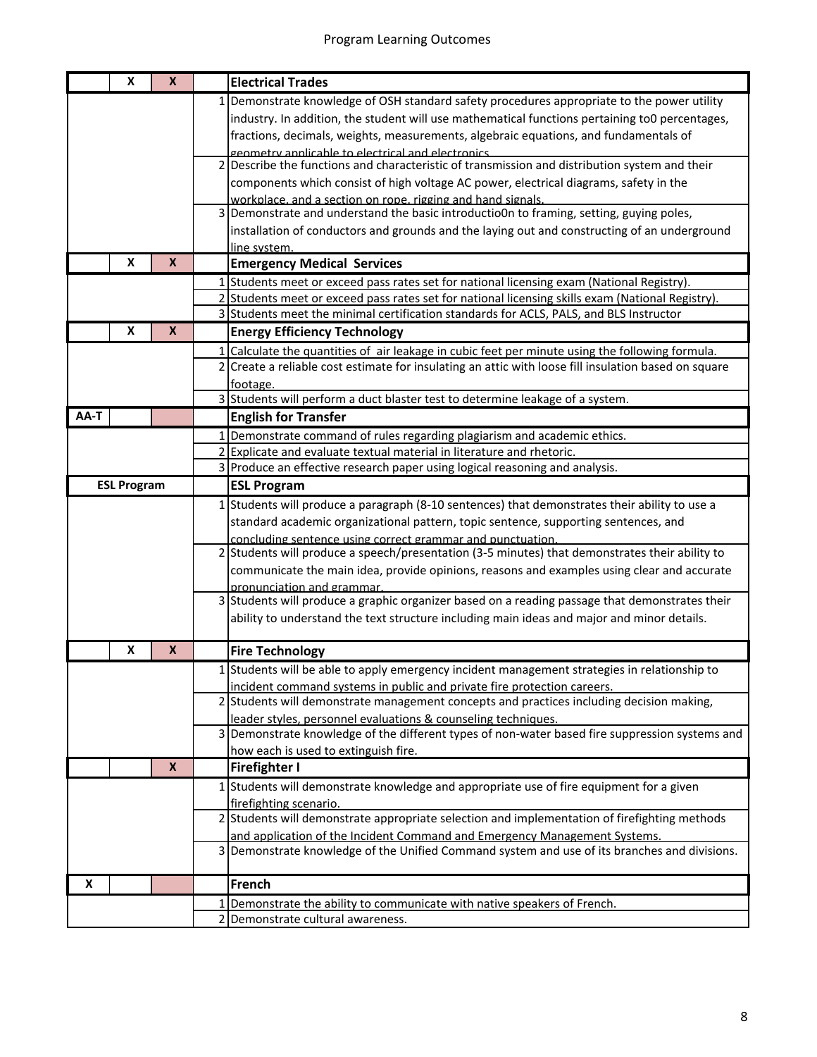|      | X                  | $\boldsymbol{\mathsf{x}}$ |   | <b>Electrical Trades</b>                                                                                                                                                                                |
|------|--------------------|---------------------------|---|---------------------------------------------------------------------------------------------------------------------------------------------------------------------------------------------------------|
|      |                    |                           |   | Demonstrate knowledge of OSH standard safety procedures appropriate to the power utility                                                                                                                |
|      |                    |                           |   | industry. In addition, the student will use mathematical functions pertaining to0 percentages,                                                                                                          |
|      |                    |                           |   | fractions, decimals, weights, measurements, algebraic equations, and fundamentals of                                                                                                                    |
|      |                    |                           |   | geometry annlicable to electrical and electronics.                                                                                                                                                      |
|      |                    |                           | 2 | Describe the functions and characteristic of transmission and distribution system and their                                                                                                             |
|      |                    |                           |   | components which consist of high voltage AC power, electrical diagrams, safety in the                                                                                                                   |
|      |                    |                           |   | workplace, and a section on rope, rigging and hand signals.                                                                                                                                             |
|      |                    |                           |   | 3 Demonstrate and understand the basic introductio0n to framing, setting, guying poles,                                                                                                                 |
|      |                    |                           |   | installation of conductors and grounds and the laying out and constructing of an underground                                                                                                            |
|      | X                  | $\mathsf{x}$              |   | line system.<br><b>Emergency Medical Services</b>                                                                                                                                                       |
|      |                    |                           |   | 1 Students meet or exceed pass rates set for national licensing exam (National Registry).                                                                                                               |
|      |                    |                           | 2 | Students meet or exceed pass rates set for national licensing skills exam (National Registry).                                                                                                          |
|      |                    |                           |   | 3 Students meet the minimal certification standards for ACLS, PALS, and BLS Instructor                                                                                                                  |
|      | X                  | X                         |   | <b>Energy Efficiency Technology</b>                                                                                                                                                                     |
|      |                    |                           |   |                                                                                                                                                                                                         |
|      |                    |                           |   | 1 Calculate the quantities of air leakage in cubic feet per minute using the following formula.<br>2 Create a reliable cost estimate for insulating an attic with loose fill insulation based on square |
|      |                    |                           |   | footage.                                                                                                                                                                                                |
|      |                    |                           |   | 3 Students will perform a duct blaster test to determine leakage of a system.                                                                                                                           |
| AA-T |                    |                           |   | <b>English for Transfer</b>                                                                                                                                                                             |
|      |                    |                           |   | Demonstrate command of rules regarding plagiarism and academic ethics.                                                                                                                                  |
|      |                    |                           |   | 2 Explicate and evaluate textual material in literature and rhetoric.                                                                                                                                   |
|      |                    |                           |   | 3 Produce an effective research paper using logical reasoning and analysis.                                                                                                                             |
|      | <b>ESL Program</b> |                           |   | <b>ESL Program</b>                                                                                                                                                                                      |
|      |                    |                           |   | 1 Students will produce a paragraph (8-10 sentences) that demonstrates their ability to use a                                                                                                           |
|      |                    |                           |   | standard academic organizational pattern, topic sentence, supporting sentences, and                                                                                                                     |
|      |                    |                           |   | concluding sentence using correct grammar and punctuation                                                                                                                                               |
|      |                    |                           |   | 2 Students will produce a speech/presentation (3-5 minutes) that demonstrates their ability to                                                                                                          |
|      |                    |                           |   | communicate the main idea, provide opinions, reasons and examples using clear and accurate                                                                                                              |
|      |                    |                           |   | pronunciation and grammar.                                                                                                                                                                              |
|      |                    |                           |   | 3 Students will produce a graphic organizer based on a reading passage that demonstrates their                                                                                                          |
|      |                    |                           |   | ability to understand the text structure including main ideas and major and minor details.                                                                                                              |
|      |                    |                           |   |                                                                                                                                                                                                         |
|      | X                  | X                         |   | <b>Fire Technology</b>                                                                                                                                                                                  |
|      |                    |                           |   | 1 Students will be able to apply emergency incident management strategies in relationship to                                                                                                            |
|      |                    |                           |   | incident command systems in public and private fire protection careers.                                                                                                                                 |
|      |                    |                           |   | 2 Students will demonstrate management concepts and practices including decision making,                                                                                                                |
|      |                    |                           |   | leader styles, personnel evaluations & counseling techniques.                                                                                                                                           |
|      |                    |                           |   | 3 Demonstrate knowledge of the different types of non-water based fire suppression systems and                                                                                                          |
|      |                    | $\mathsf{x}$              |   | how each is used to extinguish fire.                                                                                                                                                                    |
|      |                    |                           |   | <b>Firefighter I</b>                                                                                                                                                                                    |
|      |                    |                           |   | 1 Students will demonstrate knowledge and appropriate use of fire equipment for a given                                                                                                                 |
|      |                    |                           |   | firefighting scenario.                                                                                                                                                                                  |
|      |                    |                           |   | 2 Students will demonstrate appropriate selection and implementation of firefighting methods                                                                                                            |
|      |                    |                           |   | and application of the Incident Command and Emergency Management Systems.<br>Demonstrate knowledge of the Unified Command system and use of its branches and divisions.                                 |
|      |                    |                           |   |                                                                                                                                                                                                         |
| X    |                    |                           |   | <b>French</b>                                                                                                                                                                                           |
|      |                    |                           |   | 1 Demonstrate the ability to communicate with native speakers of French.                                                                                                                                |
|      |                    |                           |   | 2 Demonstrate cultural awareness.                                                                                                                                                                       |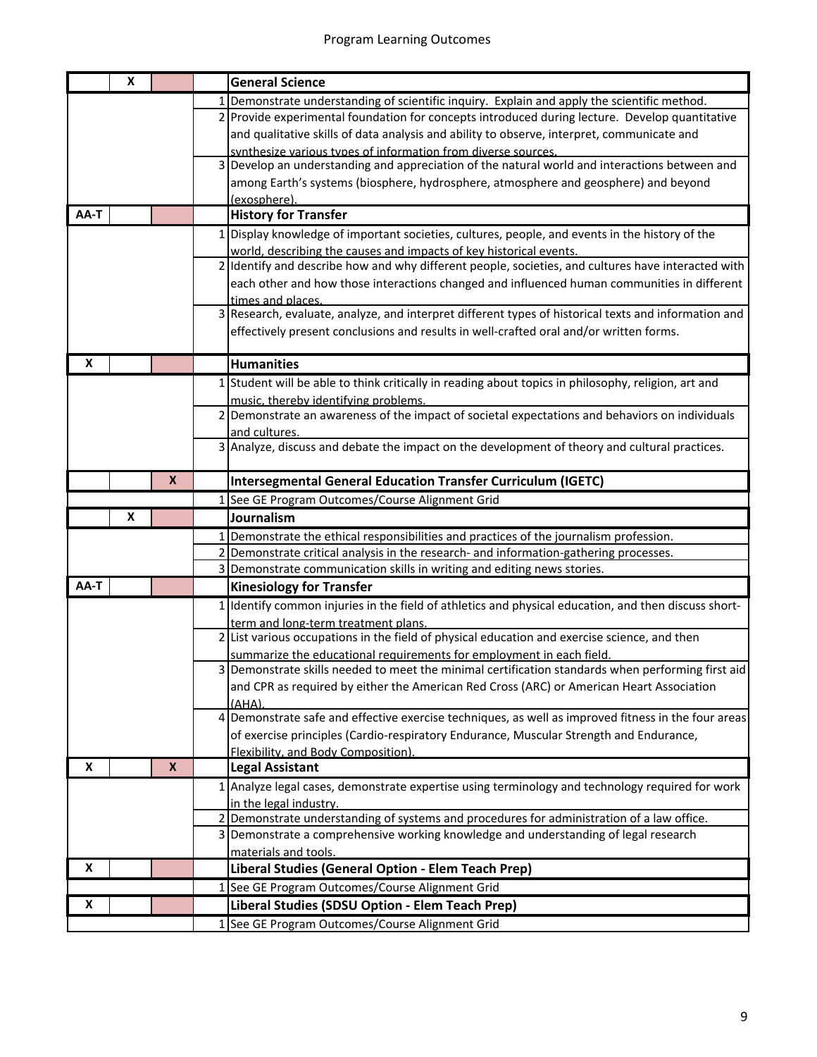|      | X |                    |   | <b>General Science</b>                                                                                                                 |
|------|---|--------------------|---|----------------------------------------------------------------------------------------------------------------------------------------|
|      |   |                    |   | Demonstrate understanding of scientific inquiry. Explain and apply the scientific method.                                              |
|      |   |                    |   | 2 Provide experimental foundation for concepts introduced during lecture. Develop quantitative                                         |
|      |   |                    |   | and qualitative skills of data analysis and ability to observe, interpret, communicate and                                             |
|      |   |                    |   | synthesize various types of information from diverse sources.                                                                          |
|      |   |                    |   | 3 Develop an understanding and appreciation of the natural world and interactions between and                                          |
|      |   |                    |   | among Earth's systems (biosphere, hydrosphere, atmosphere and geosphere) and beyond                                                    |
|      |   |                    |   | (exosphere).                                                                                                                           |
| AA-T |   |                    |   | <b>History for Transfer</b>                                                                                                            |
|      |   |                    |   | 1 Display knowledge of important societies, cultures, people, and events in the history of the                                         |
|      |   |                    |   | world, describing the causes and impacts of key historical events.                                                                     |
|      |   |                    |   | 2 Identify and describe how and why different people, societies, and cultures have interacted with                                     |
|      |   |                    |   | each other and how those interactions changed and influenced human communities in different                                            |
|      |   |                    |   | times and places                                                                                                                       |
|      |   |                    | 3 | Research, evaluate, analyze, and interpret different types of historical texts and information and                                     |
|      |   |                    |   | effectively present conclusions and results in well-crafted oral and/or written forms.                                                 |
| X    |   |                    |   | <b>Humanities</b>                                                                                                                      |
|      |   |                    |   |                                                                                                                                        |
|      |   |                    |   | 1 Student will be able to think critically in reading about topics in philosophy, religion, art and                                    |
|      |   |                    |   | music, thereby identifying problems.<br>2 Demonstrate an awareness of the impact of societal expectations and behaviors on individuals |
|      |   |                    |   |                                                                                                                                        |
|      |   |                    |   | and cultures.<br>3 Analyze, discuss and debate the impact on the development of theory and cultural practices.                         |
|      |   |                    |   |                                                                                                                                        |
|      |   | X                  |   | <b>Intersegmental General Education Transfer Curriculum (IGETC)</b>                                                                    |
|      |   |                    |   | 1 See GE Program Outcomes/Course Alignment Grid                                                                                        |
|      | X |                    |   | Journalism                                                                                                                             |
|      |   |                    |   | Demonstrate the ethical responsibilities and practices of the journalism profession.                                                   |
|      |   |                    |   | Demonstrate critical analysis in the research- and information-gathering processes.                                                    |
|      |   |                    |   | Demonstrate communication skills in writing and editing news stories.                                                                  |
| AA-T |   |                    |   | <b>Kinesiology for Transfer</b>                                                                                                        |
|      |   |                    |   | 1 Identify common injuries in the field of athletics and physical education, and then discuss short-                                   |
|      |   |                    |   | term and long-term treatment plans.                                                                                                    |
|      |   |                    |   | 2 List various occupations in the field of physical education and exercise science, and then                                           |
|      |   |                    |   | summarize the educational requirements for employment in each field.                                                                   |
|      |   |                    |   | 3 Demonstrate skills needed to meet the minimal certification standards when performing first aid                                      |
|      |   |                    |   | and CPR as required by either the American Red Cross (ARC) or American Heart Association                                               |
|      |   |                    |   | (AHA).<br>4 Demonstrate safe and effective exercise techniques, as well as improved fitness in the four areas                          |
|      |   |                    |   | of exercise principles (Cardio-respiratory Endurance, Muscular Strength and Endurance,                                                 |
|      |   |                    |   | Flexibility, and Body Composition).                                                                                                    |
| x    |   | $\pmb{\mathsf{X}}$ |   | <b>Legal Assistant</b>                                                                                                                 |
|      |   |                    |   | 1 Analyze legal cases, demonstrate expertise using terminology and technology required for work                                        |
|      |   |                    |   | in the legal industry.                                                                                                                 |
|      |   |                    |   | Demonstrate understanding of systems and procedures for administration of a law office.                                                |
|      |   |                    |   | Demonstrate a comprehensive working knowledge and understanding of legal research                                                      |
|      |   |                    |   | materials and tools.                                                                                                                   |
| X    |   |                    |   |                                                                                                                                        |
|      |   |                    |   |                                                                                                                                        |
|      |   |                    |   | Liberal Studies (General Option - Elem Teach Prep)                                                                                     |
| X    |   |                    |   | 1 See GE Program Outcomes/Course Alignment Grid<br>Liberal Studies (SDSU Option - Elem Teach Prep)                                     |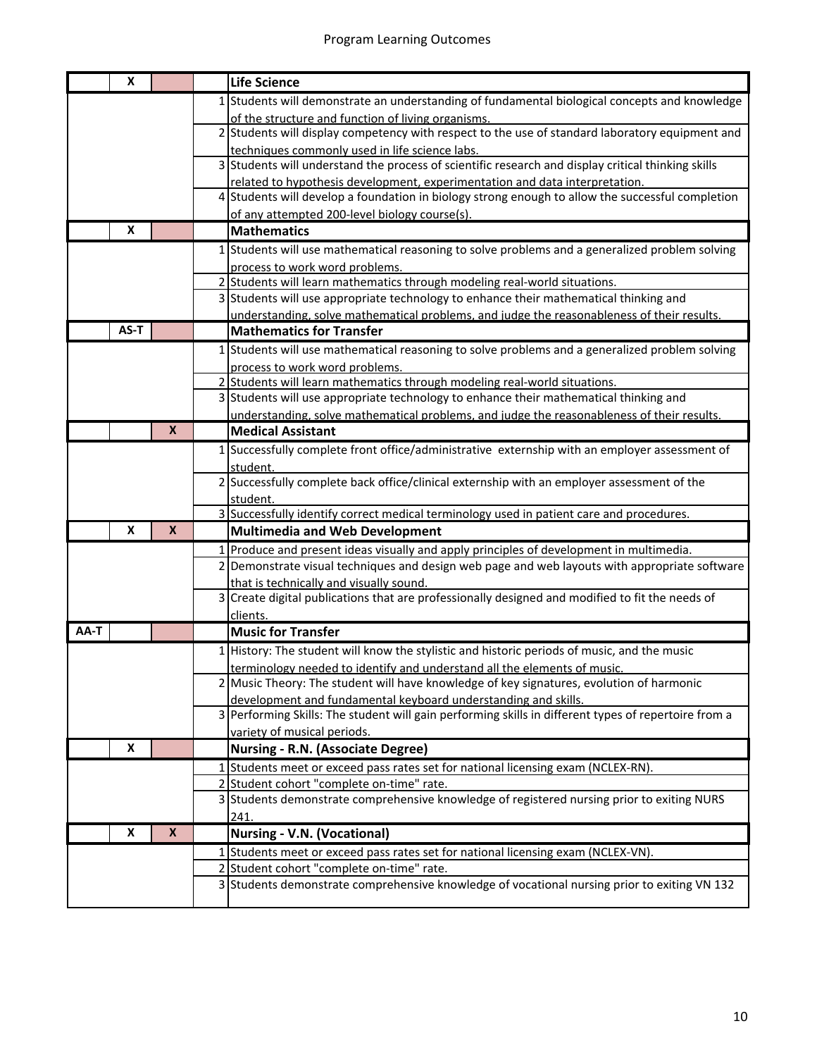|      | X      |                  |   | <b>Life Science</b>                                                                                                    |
|------|--------|------------------|---|------------------------------------------------------------------------------------------------------------------------|
|      |        |                  |   | 1 Students will demonstrate an understanding of fundamental biological concepts and knowledge                          |
|      |        |                  |   | of the structure and function of living organisms.                                                                     |
|      |        |                  |   | 2 Students will display competency with respect to the use of standard laboratory equipment and                        |
|      |        |                  |   | techniques commonly used in life science labs.                                                                         |
|      |        |                  |   | 3 Students will understand the process of scientific research and display critical thinking skills                     |
|      |        |                  |   | related to hypothesis development, experimentation and data interpretation.                                            |
|      |        |                  | 4 | Students will develop a foundation in biology strong enough to allow the successful completion                         |
|      |        |                  |   | of any attempted 200-level biology course(s).                                                                          |
|      | x      |                  |   | <b>Mathematics</b>                                                                                                     |
|      |        |                  |   | 1 Students will use mathematical reasoning to solve problems and a generalized problem solving                         |
|      |        |                  |   | process to work word problems.                                                                                         |
|      |        |                  |   | 2 Students will learn mathematics through modeling real-world situations.                                              |
|      |        |                  | 3 | Students will use appropriate technology to enhance their mathematical thinking and                                    |
|      |        |                  |   | understanding, solve mathematical problems, and judge the reasonableness of their results.                             |
|      | $AS-T$ |                  |   | <b>Mathematics for Transfer</b>                                                                                        |
|      |        |                  |   | 1 Students will use mathematical reasoning to solve problems and a generalized problem solving                         |
|      |        |                  |   | process to work word problems.                                                                                         |
|      |        |                  |   | 2 Students will learn mathematics through modeling real-world situations.                                              |
|      |        |                  |   | 3 Students will use appropriate technology to enhance their mathematical thinking and                                  |
|      |        | $\boldsymbol{X}$ |   | understanding, solve mathematical problems, and judge the reasonableness of their results.<br><b>Medical Assistant</b> |
|      |        |                  |   |                                                                                                                        |
|      |        |                  |   | 1 Successfully complete front office/administrative externship with an employer assessment of                          |
|      |        |                  |   | student.                                                                                                               |
|      |        |                  |   | 2 Successfully complete back office/clinical externship with an employer assessment of the                             |
|      |        |                  |   | student.<br>3 Successfully identify correct medical terminology used in patient care and procedures.                   |
|      | X      | $\mathsf{x}$     |   | <b>Multimedia and Web Development</b>                                                                                  |
|      |        |                  |   | 1 Produce and present ideas visually and apply principles of development in multimedia.                                |
|      |        |                  |   | 2 Demonstrate visual techniques and design web page and web layouts with appropriate software                          |
|      |        |                  |   | that is technically and visually sound.                                                                                |
|      |        |                  |   | 3 Create digital publications that are professionally designed and modified to fit the needs of                        |
|      |        |                  |   | clients.                                                                                                               |
| AA-T |        |                  |   | <b>Music for Transfer</b>                                                                                              |
|      |        |                  |   | 1 History: The student will know the stylistic and historic periods of music, and the music                            |
|      |        |                  |   | terminology needed to identify and understand all the elements of music.                                               |
|      |        |                  |   | 2 Music Theory: The student will have knowledge of key signatures, evolution of harmonic                               |
|      |        |                  |   | development and fundamental keyboard understanding and skills.                                                         |
|      |        |                  | 3 | Performing Skills: The student will gain performing skills in different types of repertoire from a                     |
|      |        |                  |   | variety of musical periods.                                                                                            |
|      | X      |                  |   | <b>Nursing - R.N. (Associate Degree)</b>                                                                               |
|      |        |                  |   | 1 Students meet or exceed pass rates set for national licensing exam (NCLEX-RN).                                       |
|      |        |                  |   | 2 Student cohort "complete on-time" rate.                                                                              |
|      |        |                  |   | 3 Students demonstrate comprehensive knowledge of registered nursing prior to exiting NURS                             |
|      |        |                  |   | 241.                                                                                                                   |
|      | X      | $\boldsymbol{x}$ |   | <b>Nursing - V.N. (Vocational)</b>                                                                                     |
|      |        |                  |   | 1 Students meet or exceed pass rates set for national licensing exam (NCLEX-VN).                                       |
|      |        |                  |   | 2 Student cohort "complete on-time" rate.                                                                              |
|      |        |                  |   | 3 Students demonstrate comprehensive knowledge of vocational nursing prior to exiting VN 132                           |
|      |        |                  |   |                                                                                                                        |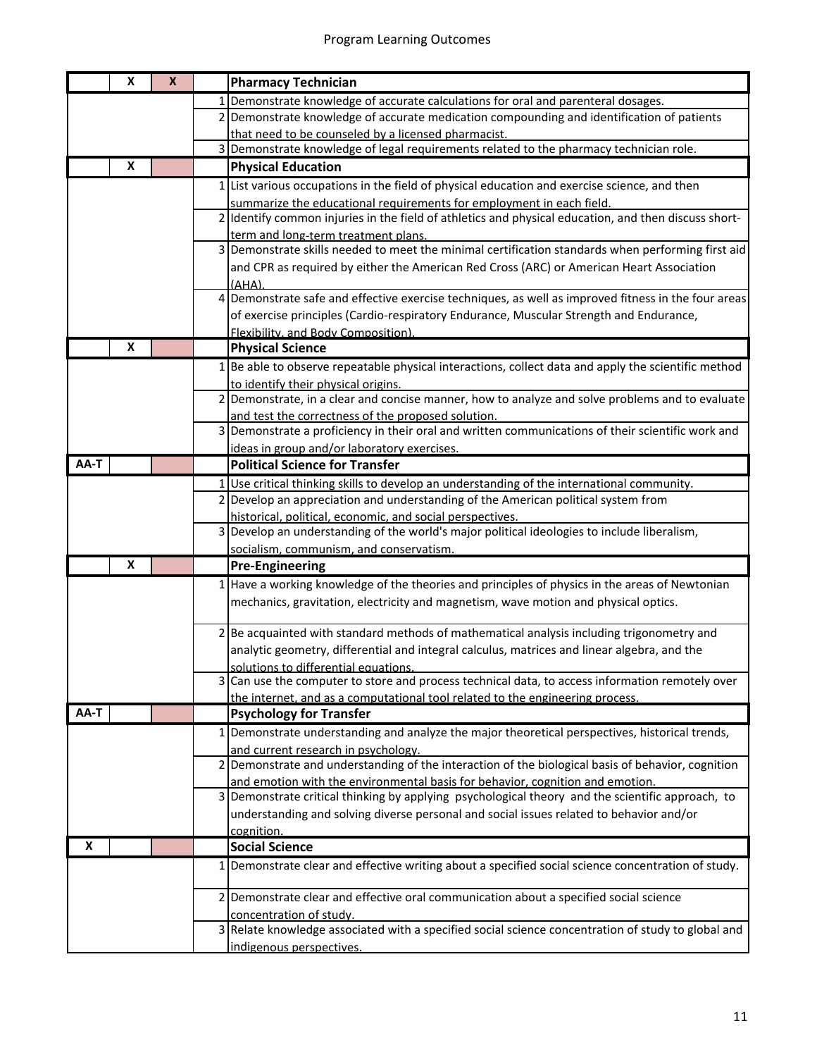|      | X | $\boldsymbol{X}$ | <b>Pharmacy Technician</b>                                                                           |
|------|---|------------------|------------------------------------------------------------------------------------------------------|
|      |   |                  | 1 Demonstrate knowledge of accurate calculations for oral and parenteral dosages.                    |
|      |   |                  | 2 Demonstrate knowledge of accurate medication compounding and identification of patients            |
|      |   |                  | that need to be counseled by a licensed pharmacist.                                                  |
|      |   |                  | 3 Demonstrate knowledge of legal requirements related to the pharmacy technician role.               |
|      | X |                  | <b>Physical Education</b>                                                                            |
|      |   |                  | 1 List various occupations in the field of physical education and exercise science, and then         |
|      |   |                  | summarize the educational requirements for employment in each field.                                 |
|      |   |                  | 2 Identify common injuries in the field of athletics and physical education, and then discuss short- |
|      |   |                  | term and long-term treatment plans.                                                                  |
|      |   |                  | 3 Demonstrate skills needed to meet the minimal certification standards when performing first aid    |
|      |   |                  | and CPR as required by either the American Red Cross (ARC) or American Heart Association             |
|      |   |                  | $(AHA)$ .                                                                                            |
|      |   |                  | 4 Demonstrate safe and effective exercise techniques, as well as improved fitness in the four areas  |
|      |   |                  | of exercise principles (Cardio-respiratory Endurance, Muscular Strength and Endurance,               |
|      |   |                  | Flexibility, and Body Composition).                                                                  |
|      | X |                  | <b>Physical Science</b>                                                                              |
|      |   |                  | 1 Be able to observe repeatable physical interactions, collect data and apply the scientific method  |
|      |   |                  | to identify their physical origins.                                                                  |
|      |   |                  | 2 Demonstrate, in a clear and concise manner, how to analyze and solve problems and to evaluate      |
|      |   |                  | and test the correctness of the proposed solution.                                                   |
|      |   |                  | 3 Demonstrate a proficiency in their oral and written communications of their scientific work and    |
|      |   |                  | ideas in group and/or laboratory exercises.                                                          |
| AA-T |   |                  | <b>Political Science for Transfer</b>                                                                |
|      |   |                  | Use critical thinking skills to develop an understanding of the international community.             |
|      |   |                  | 2 Develop an appreciation and understanding of the American political system from                    |
|      |   |                  | historical, political, economic, and social perspectives.                                            |
|      |   |                  | 3 Develop an understanding of the world's major political ideologies to include liberalism,          |
|      |   |                  | socialism, communism, and conservatism.                                                              |
|      | X |                  | <b>Pre-Engineering</b>                                                                               |
|      |   |                  | 1 Have a working knowledge of the theories and principles of physics in the areas of Newtonian       |
|      |   |                  | mechanics, gravitation, electricity and magnetism, wave motion and physical optics.                  |
|      |   |                  |                                                                                                      |
|      |   |                  | 2 Be acquainted with standard methods of mathematical analysis including trigonometry and            |
|      |   |                  | analytic geometry, differential and integral calculus, matrices and linear algebra, and the          |
|      |   |                  | solutions to differential equations.                                                                 |
|      |   |                  | 3 Can use the computer to store and process technical data, to access information remotely over      |
|      |   |                  | the internet. and as a computational tool related to the engineering process.                        |
| AA-T |   |                  | <b>Psychology for Transfer</b>                                                                       |
|      |   |                  | 1 Demonstrate understanding and analyze the major theoretical perspectives, historical trends,       |
|      |   |                  | and current research in psychology.                                                                  |
|      |   |                  | 2 Demonstrate and understanding of the interaction of the biological basis of behavior, cognition    |
|      |   |                  | and emotion with the environmental basis for behavior, cognition and emotion.                        |
|      |   |                  | 3 Demonstrate critical thinking by applying psychological theory and the scientific approach, to     |
|      |   |                  | understanding and solving diverse personal and social issues related to behavior and/or              |
|      |   |                  | cognition.                                                                                           |
| X    |   |                  | <b>Social Science</b>                                                                                |
|      |   |                  | 1 Demonstrate clear and effective writing about a specified social science concentration of study.   |
|      |   |                  | 2 Demonstrate clear and effective oral communication about a specified social science                |
|      |   |                  | concentration of study.                                                                              |
|      |   |                  | 3 Relate knowledge associated with a specified social science concentration of study to global and   |
|      |   |                  | indigenous perspectives.                                                                             |